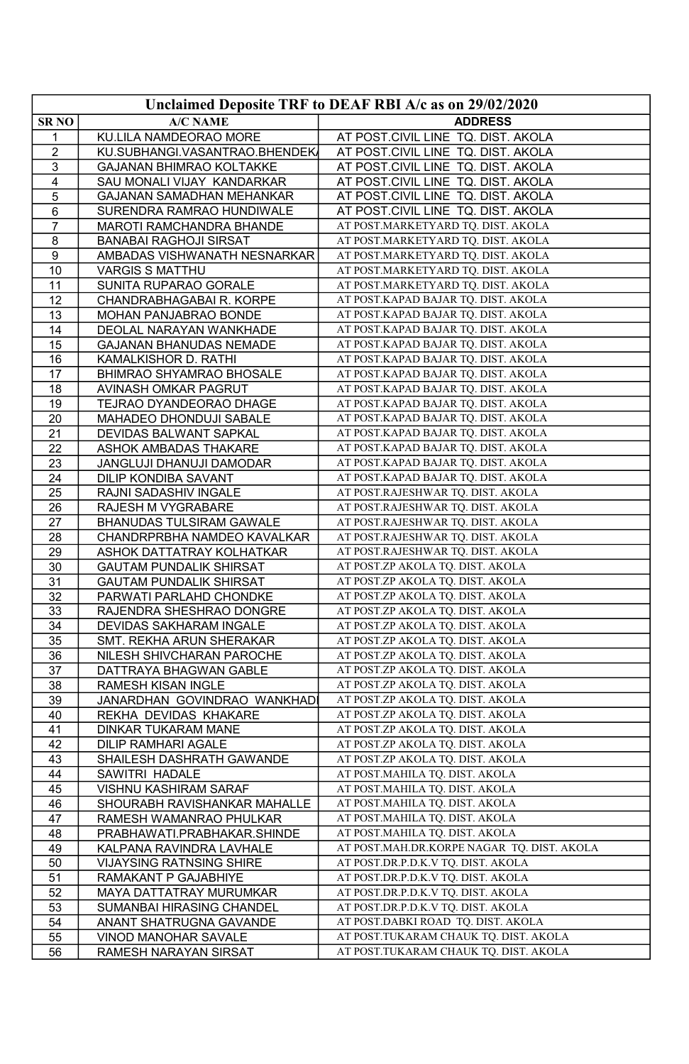| Unclaimed Deposite TRF to DEAF RBI A/c as on 29/02/2020 |                                 |                                            |
|---------------------------------------------------------|---------------------------------|--------------------------------------------|
| <b>SRNO</b>                                             | <b>A/C NAME</b>                 | <b>ADDRESS</b>                             |
| 1                                                       | KU.LILA NAMDEORAO MORE          | AT POST.CIVIL LINE TQ. DIST. AKOLA         |
| $\overline{2}$                                          | KU.SUBHANGI.VASANTRAO.BHENDEK   | AT POST.CIVIL LINE TQ. DIST. AKOLA         |
| 3                                                       | GAJANAN BHIMRAO KOLTAKKE        | AT POST.CIVIL LINE TQ. DIST. AKOLA         |
| 4                                                       | SAU MONALI VIJAY KANDARKAR      | AT POST.CIVIL LINE TQ. DIST. AKOLA         |
| 5                                                       | GAJANAN SAMADHAN MEHANKAR       | AT POST.CIVIL LINE TQ. DIST. AKOLA         |
| 6                                                       | SURENDRA RAMRAO HUNDIWALE       | AT POST.CIVIL LINE TQ. DIST. AKOLA         |
| $\overline{7}$                                          | MAROTI RAMCHANDRA BHANDE        | AT POST.MARKETYARD TQ. DIST. AKOLA         |
| 8                                                       | BANABAI RAGHOJI SIRSAT          | AT POST.MARKETYARD TQ. DIST. AKOLA         |
| 9                                                       | AMBADAS VISHWANATH NESNARKAR    | AT POST.MARKETYARD TQ. DIST. AKOLA         |
| 10                                                      | <b>VARGIS S MATTHU</b>          | AT POST.MARKETYARD TQ. DIST. AKOLA         |
| 11                                                      | SUNITA RUPARAO GORALE           | AT POST.MARKETYARD TQ. DIST. AKOLA         |
| 12                                                      | CHANDRABHAGABAI R. KORPE        | AT POST.KAPAD BAJAR TQ. DIST. AKOLA        |
| 13                                                      | MOHAN PANJABRAO BONDE           | AT POST.KAPAD BAJAR TQ. DIST. AKOLA        |
| 14                                                      | DEOLAL NARAYAN WANKHADE         | AT POST.KAPAD BAJAR TQ. DIST. AKOLA        |
| 15                                                      | GAJANAN BHANUDAS NEMADE         | AT POST.KAPAD BAJAR TQ. DIST. AKOLA        |
| 16                                                      | KAMALKISHOR D. RATHI            | AT POST.KAPAD BAJAR TQ. DIST. AKOLA        |
| 17                                                      | BHIMRAO SHYAMRAO BHOSALE        | AT POST.KAPAD BAJAR TQ. DIST. AKOLA        |
| 18                                                      | AVINASH OMKAR PAGRUT            | AT POST.KAPAD BAJAR TQ. DIST. AKOLA        |
| 19                                                      | TEJRAO DYANDEORAO DHAGE         | AT POST.KAPAD BAJAR TO. DIST. AKOLA        |
| 20                                                      | MAHADEO DHONDUJI SABALE         | AT POST.KAPAD BAJAR TQ. DIST. AKOLA        |
| 21                                                      | DEVIDAS BALWANT SAPKAL          | AT POST.KAPAD BAJAR TQ. DIST. AKOLA        |
| 22                                                      | ASHOK AMBADAS THAKARE           | AT POST.KAPAD BAJAR TQ. DIST. AKOLA        |
| 23                                                      | JANGLUJI DHANUJI DAMODAR        | AT POST.KAPAD BAJAR TQ. DIST. AKOLA        |
| 24                                                      | DILIP KONDIBA SAVANT            | AT POST.KAPAD BAJAR TQ. DIST. AKOLA        |
| 25                                                      | RAJNI SADASHIV INGALE           | AT POST.RAJESHWAR TQ. DIST. AKOLA          |
| 26                                                      | RAJESH M VYGRABARE              | AT POST.RAJESHWAR TQ. DIST. AKOLA          |
| 27                                                      | BHANUDAS TULSIRAM GAWALE        | AT POST.RAJESHWAR TQ. DIST. AKOLA          |
| 28                                                      | CHANDRPRBHA NAMDEO KAVALKAR     | AT POST.RAJESHWAR TQ. DIST. AKOLA          |
| 29                                                      | ASHOK DATTATRAY KOLHATKAR       | AT POST.RAJESHWAR TQ. DIST. AKOLA          |
| 30                                                      | <b>GAUTAM PUNDALIK SHIRSAT</b>  | AT POST.ZP AKOLA TQ. DIST. AKOLA           |
| 31                                                      | <b>GAUTAM PUNDALIK SHIRSAT</b>  | AT POST.ZP AKOLA TQ. DIST. AKOLA           |
| 32                                                      | PARWATI PARLAHD CHONDKE         | AT POST.ZP AKOLA TQ. DIST. AKOLA           |
| 33                                                      | RAJENDRA SHESHRAO DONGRE        | AT POST.ZP AKOLA TQ. DIST. AKOLA           |
| 34                                                      | DEVIDAS SAKHARAM INGALE         | AT POST.ZP AKOLA TQ. DIST. AKOLA           |
| 35                                                      | SMT. REKHA ARUN SHERAKAR        | AT POST.ZP AKOLA TQ. DIST. AKOLA           |
| 36                                                      | NILESH SHIVCHARAN PAROCHE       | AT POST.ZP AKOLA TQ. DIST. AKOLA           |
| 37                                                      | DATTRAYA BHAGWAN GABLE          | AT POST.ZP AKOLA TQ. DIST. AKOLA           |
| 38                                                      | RAMESH KISAN INGLE              | AT POST.ZP AKOLA TQ. DIST. AKOLA           |
| 39                                                      | JANARDHAN GOVINDRAO WANKHAD     | AT POST.ZP AKOLA TQ. DIST. AKOLA           |
| 40                                                      | REKHA DEVIDAS KHAKARE           | AT POST.ZP AKOLA TQ. DIST. AKOLA           |
| 41                                                      | DINKAR TUKARAM MANE             | AT POST.ZP AKOLA TQ. DIST. AKOLA           |
| 42                                                      | DILIP RAMHARI AGALE             | AT POST.ZP AKOLA TQ. DIST. AKOLA           |
| 43                                                      | SHAILESH DASHRATH GAWANDE       | AT POST.ZP AKOLA TQ. DIST. AKOLA           |
| 44                                                      | SAWITRI HADALE                  | AT POST. MAHILA TQ. DIST. AKOLA            |
| 45                                                      | VISHNU KASHIRAM SARAF           | AT POST.MAHILA TQ. DIST. AKOLA             |
| 46                                                      | SHOURABH RAVISHANKAR MAHALLE    | AT POST.MAHILA TQ. DIST. AKOLA             |
| 47                                                      | RAMESH WAMANRAO PHULKAR         | AT POST.MAHILA TQ. DIST. AKOLA             |
| 48                                                      | PRABHAWATI.PRABHAKAR.SHINDE     | AT POST.MAHILA TQ. DIST. AKOLA             |
| 49                                                      | KALPANA RAVINDRA LAVHALE        | AT POST.MAH.DR.KORPE NAGAR TQ. DIST. AKOLA |
| 50                                                      | <b>VIJAYSING RATNSING SHIRE</b> | AT POST.DR.P.D.K.V TQ. DIST. AKOLA         |
| 51                                                      | RAMAKANT P GAJABHIYE            | AT POST.DR.P.D.K.V TQ. DIST. AKOLA         |
| 52                                                      | MAYA DATTATRAY MURUMKAR         | AT POST.DR.P.D.K.V TQ. DIST. AKOLA         |
| 53                                                      | SUMANBAI HIRASING CHANDEL       | AT POST.DR.P.D.K.V TQ. DIST. AKOLA         |
| 54                                                      | ANANT SHATRUGNA GAVANDE         | AT POST.DABKI ROAD TQ. DIST. AKOLA         |
| 55                                                      | VINOD MANOHAR SAVALE            | AT POST.TUKARAM CHAUK TQ. DIST. AKOLA      |
| 56                                                      | RAMESH NARAYAN SIRSAT           | AT POST.TUKARAM CHAUK TQ. DIST. AKOLA      |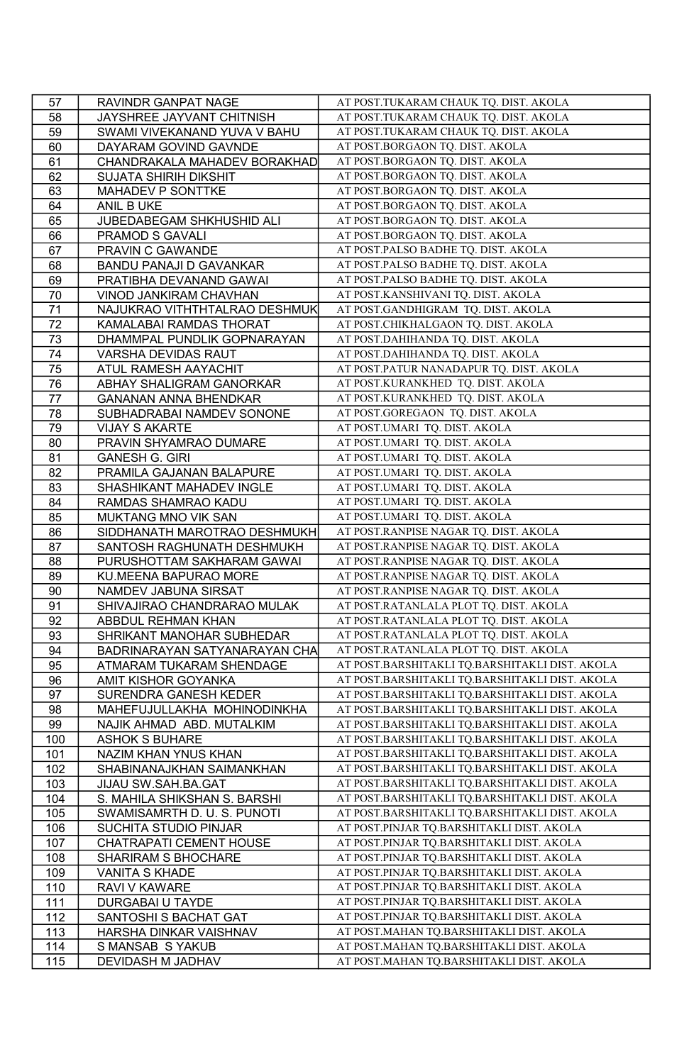| 57  | RAVINDR GANPAT NAGE           | AT POST.TUKARAM CHAUK TQ. DIST. AKOLA          |
|-----|-------------------------------|------------------------------------------------|
| 58  | JAYSHREE JAYVANT CHITNISH     | AT POST.TUKARAM CHAUK TQ. DIST. AKOLA          |
| 59  | SWAMI VIVEKANAND YUVA V BAHU  | AT POST.TUKARAM CHAUK TQ. DIST. AKOLA          |
| 60  | DAYARAM GOVIND GAVNDE         | AT POST.BORGAON TQ. DIST. AKOLA                |
| 61  | CHANDRAKALA MAHADEV BORAKHAD  | AT POST.BORGAON TQ. DIST. AKOLA                |
| 62  | <b>SUJATA SHIRIH DIKSHIT</b>  | AT POST.BORGAON TQ. DIST. AKOLA                |
| 63  | MAHADEV P SONTTKE             | AT POST.BORGAON TQ. DIST. AKOLA                |
| 64  | ANIL B UKE                    | AT POST.BORGAON TQ. DIST. AKOLA                |
| 65  | JUBEDABEGAM SHKHUSHID ALI     | AT POST.BORGAON TQ. DIST. AKOLA                |
|     | PRAMOD S GAVALI               | AT POST.BORGAON TQ. DIST. AKOLA                |
| 66  |                               | AT POST.PALSO BADHE TQ. DIST. AKOLA            |
| 67  | PRAVIN C GAWANDE              | AT POST.PALSO BADHE TQ. DIST. AKOLA            |
| 68  | BANDU PANAJI D GAVANKAR       |                                                |
| 69  | PRATIBHA DEVANAND GAWAI       | AT POST.PALSO BADHE TQ. DIST. AKOLA            |
| 70  | VINOD JANKIRAM CHAVHAN        | AT POST.KANSHIVANI TQ. DIST. AKOLA             |
| 71  | NAJUKRAO VITHTHTALRAO DESHMUK | AT POST.GANDHIGRAM TQ. DIST. AKOLA             |
| 72  | KAMALABAI RAMDAS THORAT       | AT POST.CHIKHALGAON TQ. DIST. AKOLA            |
| 73  | DHAMMPAL PUNDLIK GOPNARAYAN   | AT POST.DAHIHANDA TQ. DIST. AKOLA              |
| 74  | VARSHA DEVIDAS RAUT           | AT POST.DAHIHANDA TQ. DIST. AKOLA              |
| 75  | ATUL RAMESH AAYACHIT          | AT POST.PATUR NANADAPUR TQ. DIST. AKOLA        |
| 76  | ABHAY SHALIGRAM GANORKAR      | AT POST.KURANKHED TQ. DIST. AKOLA              |
| 77  | GANANAN ANNA BHENDKAR         | AT POST.KURANKHED TQ. DIST. AKOLA              |
| 78  | SUBHADRABAI NAMDEV SONONE     | AT POST.GOREGAON TQ. DIST. AKOLA               |
| 79  | VIJAY S AKARTE                | AT POST.UMARI TQ. DIST. AKOLA                  |
| 80  | PRAVIN SHYAMRAO DUMARE        | AT POST.UMARI TQ. DIST. AKOLA                  |
| 81  | <b>GANESH G. GIRI</b>         | AT POST.UMARI TQ. DIST. AKOLA                  |
| 82  | PRAMILA GAJANAN BALAPURE      | AT POST.UMARI TQ. DIST. AKOLA                  |
| 83  | SHASHIKANT MAHADEV INGLE      | AT POST.UMARI TQ. DIST. AKOLA                  |
| 84  | RAMDAS SHAMRAO KADU           | AT POST.UMARI TQ. DIST. AKOLA                  |
| 85  | MUKTANG MNO VIK SAN           | AT POST.UMARI TQ. DIST. AKOLA                  |
| 86  | SIDDHANATH MAROTRAO DESHMUKH  | AT POST.RANPISE NAGAR TQ. DIST. AKOLA          |
| 87  | SANTOSH RAGHUNATH DESHMUKH    | AT POST.RANPISE NAGAR TQ. DIST. AKOLA          |
|     | PURUSHOTTAM SAKHARAM GAWAI    | AT POST.RANPISE NAGAR TQ. DIST. AKOLA          |
| 88  |                               | AT POST.RANPISE NAGAR TQ. DIST. AKOLA          |
| 89  | KU.MEENA BAPURAO MORE         |                                                |
| 90  | NAMDEV JABUNA SIRSAT          | AT POST.RANPISE NAGAR TQ. DIST. AKOLA          |
| 91  | SHIVAJIRAO CHANDRARAO MULAK   | AT POST.RATANLALA PLOT TQ. DIST. AKOLA         |
| 92  | ABBDUL REHMAN KHAN            | AT POST.RATANLALA PLOT TQ. DIST. AKOLA         |
| 93  | SHRIKANT MANOHAR SUBHEDAR     | AT POST.RATANLALA PLOT TQ. DIST. AKOLA         |
| 94  | BADRINARAYAN SATYANARAYAN CHA | AT POST.RATANLALA PLOT TQ. DIST. AKOLA         |
| 95  | ATMARAM TUKARAM SHENDAGE      | AT POST.BARSHITAKLI TQ.BARSHITAKLI DIST. AKOLA |
| 96  | AMIT KISHOR GOYANKA           | AT POST.BARSHITAKLI TQ.BARSHITAKLI DIST. AKOLA |
| 97  | SURENDRA GANESH KEDER         | AT POST.BARSHITAKLI TQ.BARSHITAKLI DIST. AKOLA |
| 98  | MAHEFUJULLAKHA MOHINODINKHA   | AT POST.BARSHITAKLI TQ.BARSHITAKLI DIST. AKOLA |
| 99  | NAJIK AHMAD ABD. MUTALKIM     | AT POST.BARSHITAKLI TQ.BARSHITAKLI DIST. AKOLA |
| 100 | <b>ASHOK S BUHARE</b>         | AT POST.BARSHITAKLI TQ.BARSHITAKLI DIST. AKOLA |
| 101 | NAZIM KHAN YNUS KHAN          | AT POST.BARSHITAKLI TQ.BARSHITAKLI DIST. AKOLA |
| 102 | SHABINANAJKHAN SAIMANKHAN     | AT POST.BARSHITAKLI TQ.BARSHITAKLI DIST. AKOLA |
| 103 | JIJAU SW.SAH.BA.GAT           | AT POST.BARSHITAKLI TQ.BARSHITAKLI DIST. AKOLA |
| 104 | S. MAHILA SHIKSHAN S. BARSHI  | AT POST.BARSHITAKLI TQ.BARSHITAKLI DIST. AKOLA |
| 105 | SWAMISAMRTH D. U. S. PUNOTI   | AT POST.BARSHITAKLI TQ.BARSHITAKLI DIST. AKOLA |
| 106 | SUCHITA STUDIO PINJAR         | AT POST.PINJAR TQ.BARSHITAKLI DIST. AKOLA      |
| 107 | CHATRAPATI CEMENT HOUSE       | AT POST.PINJAR TQ.BARSHITAKLI DIST. AKOLA      |
| 108 | SHARIRAM S BHOCHARE           | AT POST.PINJAR TQ.BARSHITAKLI DIST. AKOLA      |
| 109 | VANITA S KHADE                | AT POST.PINJAR TQ.BARSHITAKLI DIST. AKOLA      |
| 110 | RAVI V KAWARE                 | AT POST.PINJAR TQ.BARSHITAKLI DIST. AKOLA      |
| 111 | DURGABAI U TAYDE              | AT POST.PINJAR TQ.BARSHITAKLI DIST. AKOLA      |
| 112 | SANTOSHI S BACHAT GAT         | AT POST.PINJAR TQ.BARSHITAKLI DIST. AKOLA      |
|     |                               | AT POST.MAHAN TQ.BARSHITAKLI DIST. AKOLA       |
| 113 | HARSHA DINKAR VAISHNAV        |                                                |
| 114 | S MANSAB S YAKUB              | AT POST.MAHAN TQ.BARSHITAKLI DIST. AKOLA       |
| 115 | DEVIDASH M JADHAV             | AT POST.MAHAN TQ.BARSHITAKLI DIST. AKOLA       |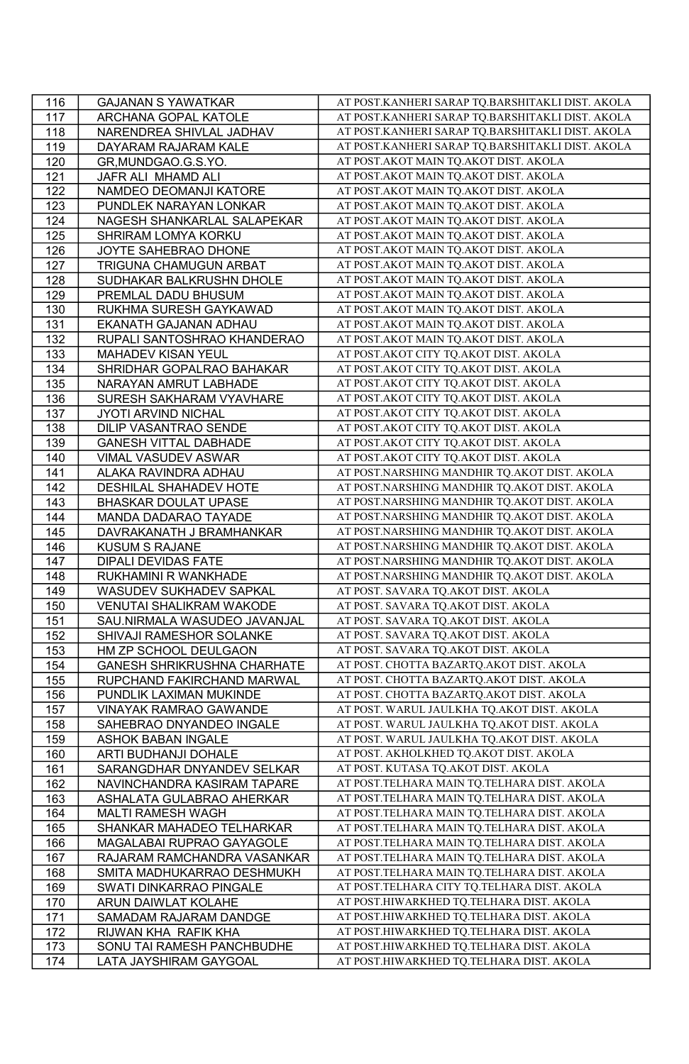| 116 | <b>GAJANAN S YAWATKAR</b>    | AT POST.KANHERI SARAP TQ.BARSHITAKLI DIST. AKOLA |
|-----|------------------------------|--------------------------------------------------|
| 117 | ARCHANA GOPAL KATOLE         | AT POST.KANHERI SARAP TQ.BARSHITAKLI DIST. AKOLA |
| 118 | NARENDREA SHIVLAL JADHAV     | AT POST.KANHERI SARAP TQ.BARSHITAKLI DIST. AKOLA |
| 119 | DAYARAM RAJARAM KALE         | AT POST.KANHERI SARAP TQ.BARSHITAKLI DIST. AKOLA |
| 120 | GR, MUNDGAO.G.S.YO.          | AT POST. AKOT MAIN TQ. AKOT DIST. AKOLA          |
| 121 | JAFR ALI MHAMD ALI           | AT POST. AKOT MAIN TQ. AKOT DIST. AKOLA          |
| 122 | NAMDEO DEOMANJI KATORE       | AT POST.AKOT MAIN TQ.AKOT DIST. AKOLA            |
| 123 | PUNDLEK NARAYAN LONKAR       | AT POST.AKOT MAIN TQ.AKOT DIST. AKOLA            |
| 124 | NAGESH SHANKARLAL SALAPEKAR  | AT POST. AKOT MAIN TQ. AKOT DIST. AKOLA          |
| 125 | SHRIRAM LOMYA KORKU          | AT POST. AKOT MAIN TQ. AKOT DIST. AKOLA          |
| 126 | JOYTE SAHEBRAO DHONE         | AT POST. AKOT MAIN TQ. AKOT DIST. AKOLA          |
| 127 | TRIGUNA CHAMUGUN ARBAT       | AT POST. AKOT MAIN TQ. AKOT DIST. AKOLA          |
| 128 | SUDHAKAR BALKRUSHN DHOLE     | AT POST. AKOT MAIN TQ. AKOT DIST. AKOLA          |
| 129 | PREMLAL DADU BHUSUM          | AT POST. AKOT MAIN TQ. AKOT DIST. AKOLA          |
| 130 | RUKHMA SURESH GAYKAWAD       | AT POST.AKOT MAIN TQ.AKOT DIST. AKOLA            |
| 131 | EKANATH GAJANAN ADHAU        | AT POST.AKOT MAIN TQ.AKOT DIST. AKOLA            |
| 132 | RUPALI SANTOSHRAO KHANDERAO  | AT POST.AKOT MAIN TQ.AKOT DIST. AKOLA            |
| 133 | MAHADEV KISAN YEUL           | AT POST.AKOT CITY TQ.AKOT DIST. AKOLA            |
| 134 | SHRIDHAR GOPALRAO BAHAKAR    | AT POST. AKOT CITY TQ. AKOT DIST. AKOLA          |
| 135 | NARAYAN AMRUT LABHADE        | AT POST. AKOT CITY TQ. AKOT DIST. AKOLA          |
| 136 | SURESH SAKHARAM VYAVHARE     | AT POST.AKOT CITY TQ.AKOT DIST. AKOLA            |
| 137 | JYOTI ARVIND NICHAL          | AT POST.AKOT CITY TQ.AKOT DIST. AKOLA            |
| 138 | DILIP VASANTRAO SENDE        | AT POST. AKOT CITY TQ. AKOT DIST. AKOLA          |
| 139 | <b>GANESH VITTAL DABHADE</b> | AT POST. AKOT CITY TQ. AKOT DIST. AKOLA          |
| 140 | VIMAL VASUDEV ASWAR          | AT POST. AKOT CITY TQ. AKOT DIST. AKOLA          |
| 141 | ALAKA RAVINDRA ADHAU         | AT POST.NARSHING MANDHIR TQ.AKOT DIST. AKOLA     |
| 142 | DESHILAL SHAHADEV HOTE       | AT POST.NARSHING MANDHIR TQ.AKOT DIST. AKOLA     |
| 143 | BHASKAR DOULAT UPASE         | AT POST.NARSHING MANDHIR TO.AKOT DIST. AKOLA     |
| 144 | MANDA DADARAO TAYADE         | AT POST.NARSHING MANDHIR TQ.AKOT DIST. AKOLA     |
| 145 | DAVRAKANATH J BRAMHANKAR     | AT POST.NARSHING MANDHIR TQ.AKOT DIST. AKOLA     |
| 146 | <b>KUSUM S RAJANE</b>        | AT POST.NARSHING MANDHIR TQ.AKOT DIST. AKOLA     |
| 147 | <b>DIPALI DEVIDAS FATE</b>   | AT POST.NARSHING MANDHIR TQ.AKOT DIST. AKOLA     |
| 148 | RUKHAMINI R WANKHADE         | AT POST.NARSHING MANDHIR TQ.AKOT DIST. AKOLA     |
| 149 | WASUDEV SUKHADEV SAPKAL      | AT POST. SAVARA TQ.AKOT DIST. AKOLA              |
| 150 | VENUTAI SHALIKRAM WAKODE     | AT POST. SAVARA TQ.AKOT DIST. AKOLA              |
| 151 | SAU.NIRMALA WASUDEO JAVANJAL | AT POST. SAVARA TQ.AKOT DIST. AKOLA              |
| 152 | SHIVAJI RAMESHOR SOLANKE     | AT POST. SAVARA TQ.AKOT DIST. AKOLA              |
| 153 | HM ZP SCHOOL DEULGAON        | AT POST. SAVARA TQ.AKOT DIST. AKOLA              |
| 154 | GANESH SHRIKRUSHNA CHARHATE  | AT POST. CHOTTA BAZARTQ.AKOT DIST. AKOLA         |
| 155 | RUPCHAND FAKIRCHAND MARWAL   | AT POST. CHOTTA BAZARTQ.AKOT DIST. AKOLA         |
| 156 | PUNDLIK LAXIMAN MUKINDE      | AT POST. CHOTTA BAZARTQ.AKOT DIST. AKOLA         |
| 157 | VINAYAK RAMRAO GAWANDE       | AT POST. WARUL JAULKHA TQ.AKOT DIST. AKOLA       |
| 158 | SAHEBRAO DNYANDEO INGALE     | AT POST. WARUL JAULKHA TQ.AKOT DIST. AKOLA       |
| 159 | ASHOK BABAN INGALE           | AT POST. WARUL JAULKHA TQ.AKOT DIST. AKOLA       |
| 160 | ARTI BUDHANJI DOHALE         | AT POST. AKHOLKHED TQ.AKOT DIST. AKOLA           |
| 161 | SARANGDHAR DNYANDEV SELKAR   | AT POST. KUTASA TQ.AKOT DIST. AKOLA              |
| 162 | NAVINCHANDRA KASIRAM TAPARE  | AT POST.TELHARA MAIN TQ.TELHARA DIST. AKOLA      |
| 163 | ASHALATA GULABRAO AHERKAR    | AT POST.TELHARA MAIN TQ.TELHARA DIST. AKOLA      |
| 164 | MALTI RAMESH WAGH            | AT POST.TELHARA MAIN TQ.TELHARA DIST. AKOLA      |
| 165 | SHANKAR MAHADEO TELHARKAR    | AT POST.TELHARA MAIN TQ.TELHARA DIST. AKOLA      |
| 166 | MAGALABAI RUPRAO GAYAGOLE    | AT POST. TELHARA MAIN TQ. TELHARA DIST. AKOLA    |
| 167 | RAJARAM RAMCHANDRA VASANKAR  | AT POST.TELHARA MAIN TQ.TELHARA DIST. AKOLA      |
| 168 | SMITA MADHUKARRAO DESHMUKH   | AT POST.TELHARA MAIN TQ.TELHARA DIST. AKOLA      |
| 169 | SWATI DINKARRAO PINGALE      | AT POST.TELHARA CITY TQ.TELHARA DIST. AKOLA      |
| 170 | ARUN DAIWLAT KOLAHE          | AT POST.HIWARKHED TQ.TELHARA DIST. AKOLA         |
| 171 | SAMADAM RAJARAM DANDGE       | AT POST.HIWARKHED TQ.TELHARA DIST. AKOLA         |
| 172 | RIJWAN KHA RAFIK KHA         | AT POST.HIWARKHED TQ.TELHARA DIST. AKOLA         |
| 173 | SONU TAI RAMESH PANCHBUDHE   | AT POST.HIWARKHED TQ.TELHARA DIST. AKOLA         |
| 174 | LATA JAYSHIRAM GAYGOAL       | AT POST.HIWARKHED TQ.TELHARA DIST. AKOLA         |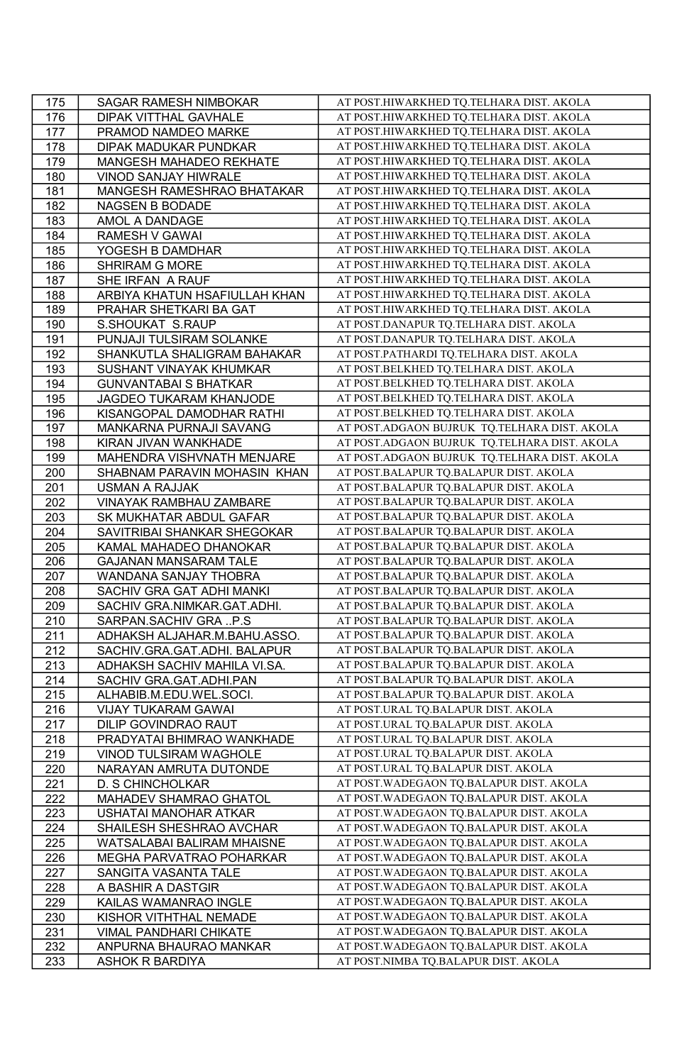| 175 | SAGAR RAMESH NIMBOKAR         | AT POST.HIWARKHED TQ.TELHARA DIST. AKOLA     |
|-----|-------------------------------|----------------------------------------------|
| 176 | DIPAK VITTHAL GAVHALE         | AT POST.HIWARKHED TQ.TELHARA DIST. AKOLA     |
| 177 | PRAMOD NAMDEO MARKE           | AT POST.HIWARKHED TQ.TELHARA DIST. AKOLA     |
| 178 | DIPAK MADUKAR PUNDKAR         | AT POST.HIWARKHED TQ.TELHARA DIST. AKOLA     |
| 179 | MANGESH MAHADEO REKHATE       | AT POST.HIWARKHED TQ.TELHARA DIST. AKOLA     |
| 180 | VINOD SANJAY HIWRALE          | AT POST.HIWARKHED TQ.TELHARA DIST. AKOLA     |
| 181 | MANGESH RAMESHRAO BHATAKAR    | AT POST.HIWARKHED TQ.TELHARA DIST. AKOLA     |
| 182 | NAGSEN B BODADE               | AT POST.HIWARKHED TQ.TELHARA DIST. AKOLA     |
| 183 | AMOL A DANDAGE                | AT POST.HIWARKHED TQ.TELHARA DIST. AKOLA     |
| 184 | RAMESH V GAWAI                | AT POST.HIWARKHED TQ.TELHARA DIST. AKOLA     |
| 185 | YOGESH B DAMDHAR              | AT POST.HIWARKHED TQ.TELHARA DIST. AKOLA     |
| 186 | SHRIRAM G MORE                | AT POST.HIWARKHED TQ.TELHARA DIST. AKOLA     |
| 187 | SHE IRFAN A RAUF              | AT POST.HIWARKHED TQ.TELHARA DIST. AKOLA     |
| 188 | ARBIYA KHATUN HSAFIULLAH KHAN | AT POST.HIWARKHED TQ.TELHARA DIST. AKOLA     |
| 189 | PRAHAR SHETKARI BA GAT        | AT POST.HIWARKHED TQ.TELHARA DIST. AKOLA     |
| 190 | S.SHOUKAT S.RAUP              | AT POST.DANAPUR TQ.TELHARA DIST. AKOLA       |
| 191 | PUNJAJI TULSIRAM SOLANKE      | AT POST.DANAPUR TQ.TELHARA DIST. AKOLA       |
| 192 | SHANKUTLA SHALIGRAM BAHAKAR   | AT POST.PATHARDI TQ.TELHARA DIST. AKOLA      |
| 193 | SUSHANT VINAYAK KHUMKAR       | AT POST.BELKHED TQ.TELHARA DIST. AKOLA       |
| 194 | <b>GUNVANTABAI S BHATKAR</b>  | AT POST.BELKHED TQ.TELHARA DIST. AKOLA       |
| 195 | JAGDEO TUKARAM KHANJODE       | AT POST.BELKHED TQ.TELHARA DIST. AKOLA       |
| 196 | KISANGOPAL DAMODHAR RATHI     | AT POST.BELKHED TQ.TELHARA DIST. AKOLA       |
| 197 | MANKARNA PURNAJI SAVANG       | AT POST.ADGAON BUJRUK TQ.TELHARA DIST. AKOLA |
| 198 | KIRAN JIVAN WANKHADE          | AT POST.ADGAON BUJRUK TQ.TELHARA DIST. AKOLA |
| 199 | MAHENDRA VISHVNATH MENJARE    | AT POST.ADGAON BUJRUK TQ.TELHARA DIST. AKOLA |
| 200 | SHABNAM PARAVIN MOHASIN KHAN  | AT POST.BALAPUR TQ.BALAPUR DIST. AKOLA       |
| 201 | USMAN A RAJJAK                | AT POST.BALAPUR TQ.BALAPUR DIST. AKOLA       |
| 202 | VINAYAK RAMBHAU ZAMBARE       | AT POST.BALAPUR TQ.BALAPUR DIST. AKOLA       |
| 203 | SK MUKHATAR ABDUL GAFAR       | AT POST.BALAPUR TQ.BALAPUR DIST. AKOLA       |
| 204 | SAVITRIBAI SHANKAR SHEGOKAR   | AT POST.BALAPUR TQ.BALAPUR DIST. AKOLA       |
| 205 | KAMAL MAHADEO DHANOKAR        | AT POST.BALAPUR TQ.BALAPUR DIST. AKOLA       |
| 206 | GAJANAN MANSARAM TALE         | AT POST.BALAPUR TQ.BALAPUR DIST. AKOLA       |
| 207 | WANDANA SANJAY THOBRA         | AT POST.BALAPUR TQ.BALAPUR DIST. AKOLA       |
| 208 | SACHIV GRA GAT ADHI MANKI     | AT POST.BALAPUR TQ.BALAPUR DIST. AKOLA       |
| 209 | SACHIV GRA.NIMKAR.GAT.ADHI.   | AT POST.BALAPUR TQ.BALAPUR DIST. AKOLA       |
| 210 | SARPAN.SACHIV GRA P.S         | AT POST.BALAPUR TQ.BALAPUR DIST. AKOLA       |
| 211 | ADHAKSH ALJAHAR.M.BAHU.ASSO.  | AT POST.BALAPUR TQ.BALAPUR DIST. AKOLA       |
| 212 | SACHIV.GRA.GAT.ADHI. BALAPUR  | AT POST.BALAPUR TQ.BALAPUR DIST. AKOLA       |
| 213 | ADHAKSH SACHIV MAHILA VI.SA.  | AT POST.BALAPUR TQ.BALAPUR DIST. AKOLA       |
| 214 | SACHIV GRA.GAT.ADHI.PAN       | AT POST.BALAPUR TQ.BALAPUR DIST. AKOLA       |
| 215 | ALHABIB.M.EDU.WEL.SOCI.       | AT POST.BALAPUR TQ.BALAPUR DIST. AKOLA       |
| 216 | VIJAY TUKARAM GAWAI           | AT POST.URAL TQ.BALAPUR DIST. AKOLA          |
| 217 | DILIP GOVINDRAO RAUT          | AT POST.URAL TQ.BALAPUR DIST. AKOLA          |
| 218 | PRADYATAI BHIMRAO WANKHADE    | AT POST.URAL TQ.BALAPUR DIST. AKOLA          |
| 219 | VINOD TULSIRAM WAGHOLE        | AT POST.URAL TQ.BALAPUR DIST. AKOLA          |
| 220 | NARAYAN AMRUTA DUTONDE        | AT POST.URAL TQ.BALAPUR DIST. AKOLA          |
| 221 | D. S CHINCHOLKAR              | AT POST. WADEGAON TQ.BALAPUR DIST. AKOLA     |
| 222 | MAHADEV SHAMRAO GHATOL        | AT POST. WADEGAON TQ.BALAPUR DIST. AKOLA     |
| 223 | USHATAI MANOHAR ATKAR         | AT POST. WADEGAON TQ.BALAPUR DIST. AKOLA     |
| 224 | SHAILESH SHESHRAO AVCHAR      | AT POST. WADEGAON TQ.BALAPUR DIST. AKOLA     |
| 225 | WATSALABAI BALIRAM MHAISNE    | AT POST. WADEGAON TQ.BALAPUR DIST. AKOLA     |
| 226 | MEGHA PARVATRAO POHARKAR      | AT POST. WADEGAON TQ.BALAPUR DIST. AKOLA     |
| 227 | SANGITA VASANTA TALE          | AT POST. WADEGAON TQ. BALAPUR DIST. AKOLA    |
| 228 | A BASHIR A DASTGIR            | AT POST. WADEGAON TQ.BALAPUR DIST. AKOLA     |
| 229 | KAILAS WAMANRAO INGLE         | AT POST. WADEGAON TQ.BALAPUR DIST. AKOLA     |
| 230 | KISHOR VITHTHAL NEMADE        | AT POST. WADEGAON TQ.BALAPUR DIST. AKOLA     |
| 231 | VIMAL PANDHARI CHIKATE        | AT POST. WADEGAON TQ.BALAPUR DIST. AKOLA     |
| 232 | ANPURNA BHAURAO MANKAR        | AT POST. WADEGAON TQ. BALAPUR DIST. AKOLA    |
| 233 | ASHOK R BARDIYA               | AT POST.NIMBA TQ.BALAPUR DIST. AKOLA         |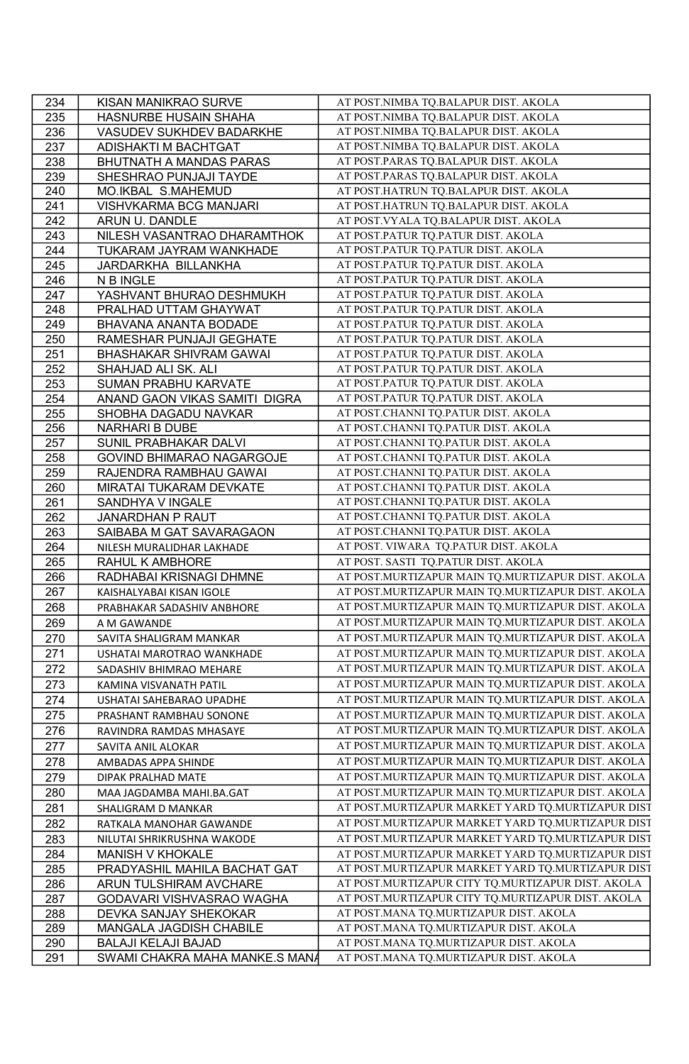| 234        | KISAN MANIKRAO SURVE                    | AT POST.NIMBA TQ.BALAPUR DIST. AKOLA              |
|------------|-----------------------------------------|---------------------------------------------------|
| 235        | HASNURBE HUSAIN SHAHA                   | AT POST.NIMBA TQ.BALAPUR DIST. AKOLA              |
| 236        | VASUDEV SUKHDEV BADARKHE                | AT POST.NIMBA TO.BALAPUR DIST. AKOLA              |
| 237        | ADISHAKTI M BACHTGAT                    | AT POST.NIMBA TQ.BALAPUR DIST. AKOLA              |
| 238        | BHUTNATH A MANDAS PARAS                 | AT POST.PARAS TQ.BALAPUR DIST. AKOLA              |
| 239        | SHESHRAO PUNJAJI TAYDE                  | AT POST.PARAS TQ.BALAPUR DIST. AKOLA              |
| 240        | MO.IKBAL S.MAHEMUD                      | AT POST.HATRUN TQ.BALAPUR DIST. AKOLA             |
| 241        | VISHVKARMA BCG MANJARI                  | AT POST.HATRUN TQ.BALAPUR DIST. AKOLA             |
| 242        | ARUN U. DANDLE                          | AT POST.VYALA TQ.BALAPUR DIST. AKOLA              |
| 243        | NILESH VASANTRAO DHARAMTHOK             | AT POST.PATUR TQ.PATUR DIST. AKOLA                |
| 244        | TUKARAM JAYRAM WANKHADE                 | AT POST.PATUR TQ.PATUR DIST. AKOLA                |
| 245        | JARDARKHA BILLANKHA                     | AT POST.PATUR TQ.PATUR DIST. AKOLA                |
| 246        | N B INGLE                               | AT POST.PATUR TQ.PATUR DIST. AKOLA                |
| 247        | YASHVANT BHURAO DESHMUKH                | AT POST.PATUR TQ.PATUR DIST. AKOLA                |
| 248        | PRALHAD UTTAM GHAYWAT                   | AT POST.PATUR TO.PATUR DIST. AKOLA                |
| 249        | BHAVANA ANANTA BODADE                   | AT POST.PATUR TO.PATUR DIST. AKOLA                |
| 250        | RAMESHAR PUNJAJI GEGHATE                | AT POST.PATUR TQ.PATUR DIST. AKOLA                |
| 251        | BHASHAKAR SHIVRAM GAWAI                 | AT POST.PATUR TQ.PATUR DIST. AKOLA                |
| 252        | SHAHJAD ALI SK. ALI                     | AT POST.PATUR TQ.PATUR DIST. AKOLA                |
| 253        | SUMAN PRABHU KARVATE                    | AT POST.PATUR TQ.PATUR DIST. AKOLA                |
| 254        | ANAND GAON VIKAS SAMITI DIGRA           | AT POST.PATUR TO.PATUR DIST. AKOLA                |
|            |                                         | AT POST.CHANNI TQ.PATUR DIST. AKOLA               |
| 255        | SHOBHA DAGADU NAVKAR                    | AT POST.CHANNI TQ.PATUR DIST. AKOLA               |
| 256<br>257 | NARHARI B DUBE<br>SUNIL PRABHAKAR DALVI | AT POST.CHANNI TQ.PATUR DIST. AKOLA               |
|            |                                         | AT POST.CHANNI TQ.PATUR DIST. AKOLA               |
| 258        | GOVIND BHIMARAO NAGARGOJE               | AT POST.CHANNI TQ.PATUR DIST. AKOLA               |
| 259        | RAJENDRA RAMBHAU GAWAI                  |                                                   |
| 260        | MIRATAI TUKARAM DEVKATE                 | AT POST.CHANNI TQ.PATUR DIST. AKOLA               |
| 261        | SANDHYA V INGALE                        | AT POST.CHANNI TQ.PATUR DIST. AKOLA               |
| 262        | JANARDHAN P RAUT                        | AT POST.CHANNI TQ.PATUR DIST. AKOLA               |
| 263        | SAIBABA M GAT SAVARAGAON                | AT POST.CHANNI TQ.PATUR DIST. AKOLA               |
| 264        | NILESH MURALIDHAR LAKHADE               | AT POST. VIWARA TQ.PATUR DIST. AKOLA              |
| 265        | RAHUL K AMBHORE                         | AT POST. SASTI TO.PATUR DIST. AKOLA               |
| 266        | RADHABAI KRISNAGI DHMNE                 | AT POST.MURTIZAPUR MAIN TQ.MURTIZAPUR DIST. AKOLA |
| 267        | KAISHALYABAI KISAN IGOLE                | AT POST.MURTIZAPUR MAIN TQ.MURTIZAPUR DIST. AKOLA |
| 268        | PRABHAKAR SADASHIV ANBHORE              | AT POST.MURTIZAPUR MAIN TQ.MURTIZAPUR DIST. AKOLA |
| 269        | A M GAWANDE                             | AT POST.MURTIZAPUR MAIN TQ.MURTIZAPUR DIST. AKOLA |
| 270        | SAVITA SHALIGRAM MANKAR                 | AT POST.MURTIZAPUR MAIN TQ.MURTIZAPUR DIST. AKOLA |
| 271        | USHATAI MAROTRAO WANKHADE               | AT POST.MURTIZAPUR MAIN TQ.MURTIZAPUR DIST. AKOLA |
| 272        | SADASHIV BHIMRAO MEHARE                 | AT POST.MURTIZAPUR MAIN TQ.MURTIZAPUR DIST. AKOLA |
| 273        | KAMINA VISVANATH PATIL                  | AT POST.MURTIZAPUR MAIN TQ.MURTIZAPUR DIST. AKOLA |
| 274        | USHATAI SAHEBARAO UPADHE                | AT POST.MURTIZAPUR MAIN TQ.MURTIZAPUR DIST. AKOLA |
| 275        | PRASHANT RAMBHAU SONONE                 | AT POST.MURTIZAPUR MAIN TQ.MURTIZAPUR DIST. AKOLA |
| 276        | RAVINDRA RAMDAS MHASAYE                 | AT POST.MURTIZAPUR MAIN TQ.MURTIZAPUR DIST. AKOLA |
| 277        | SAVITA ANIL ALOKAR                      | AT POST.MURTIZAPUR MAIN TQ.MURTIZAPUR DIST. AKOLA |
| 278        | AMBADAS APPA SHINDE                     | AT POST.MURTIZAPUR MAIN TQ.MURTIZAPUR DIST. AKOLA |
| 279        | DIPAK PRALHAD MATE                      | AT POST.MURTIZAPUR MAIN TQ.MURTIZAPUR DIST. AKOLA |
|            |                                         | AT POST.MURTIZAPUR MAIN TQ.MURTIZAPUR DIST. AKOLA |
| 280        | MAA JAGDAMBA MAHI.BA.GAT                | AT POST.MURTIZAPUR MARKET YARD TQ.MURTIZAPUR DIST |
| 281        | SHALIGRAM D MANKAR                      |                                                   |
| 282        | RATKALA MANOHAR GAWANDE                 | AT POST.MURTIZAPUR MARKET YARD TQ.MURTIZAPUR DIST |
| 283        | NILUTAI SHRIKRUSHNA WAKODE              | AT POST.MURTIZAPUR MARKET YARD TQ.MURTIZAPUR DIST |
| 284        | MANISH V KHOKALE                        | AT POST.MURTIZAPUR MARKET YARD TQ.MURTIZAPUR DIST |
| 285        | PRADYASHIL MAHILA BACHAT GAT            | AT POST.MURTIZAPUR MARKET YARD TQ.MURTIZAPUR DIST |
| 286        | ARUN TULSHIRAM AVCHARE                  | AT POST.MURTIZAPUR CITY TQ.MURTIZAPUR DIST. AKOLA |
| 287        | GODAVARI VISHVASRAO WAGHA               | AT POST.MURTIZAPUR CITY TQ.MURTIZAPUR DIST. AKOLA |
| 288        | DEVKA SANJAY SHEKOKAR                   | AT POST.MANA TQ.MURTIZAPUR DIST. AKOLA            |
| 289        | MANGALA JAGDISH CHABILE                 | AT POST.MANA TQ.MURTIZAPUR DIST. AKOLA            |
| 290        | BALAJI KELAJI BAJAD                     | AT POST.MANA TQ.MURTIZAPUR DIST. AKOLA            |
| 291        | SWAMI CHAKRA MAHA MANKE.S MANA          | AT POST.MANA TQ.MURTIZAPUR DIST. AKOLA            |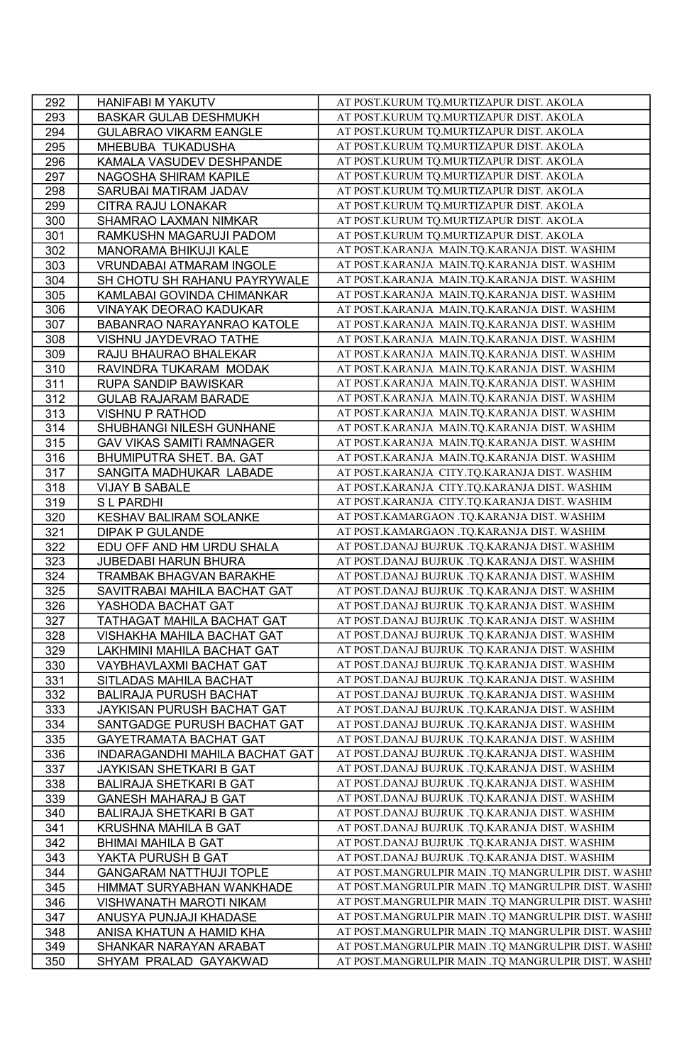| 292 | HANIFABI M YAKUTV              | AT POST.KURUM TQ.MURTIZAPUR DIST. AKOLA             |
|-----|--------------------------------|-----------------------------------------------------|
| 293 | <b>BASKAR GULAB DESHMUKH</b>   | AT POST.KURUM TO.MURTIZAPUR DIST. AKOLA             |
| 294 | <b>GULABRAO VIKARM EANGLE</b>  | AT POST.KURUM TQ.MURTIZAPUR DIST. AKOLA             |
| 295 | MHEBUBA TUKADUSHA              | AT POST.KURUM TQ.MURTIZAPUR DIST. AKOLA             |
| 296 | KAMALA VASUDEV DESHPANDE       | AT POST.KURUM TQ.MURTIZAPUR DIST. AKOLA             |
| 297 | NAGOSHA SHIRAM KAPILE          | AT POST.KURUM TQ.MURTIZAPUR DIST. AKOLA             |
| 298 | SARUBAI MATIRAM JADAV          | AT POST.KURUM TQ.MURTIZAPUR DIST. AKOLA             |
| 299 | CITRA RAJU LONAKAR             | AT POST.KURUM TQ.MURTIZAPUR DIST. AKOLA             |
| 300 | SHAMRAO LAXMAN NIMKAR          | AT POST.KURUM TQ.MURTIZAPUR DIST. AKOLA             |
| 301 | RAMKUSHN MAGARUJI PADOM        | AT POST.KURUM TQ.MURTIZAPUR DIST. AKOLA             |
| 302 | MANORAMA BHIKUJI KALE          | AT POST.KARANJA MAIN.TQ.KARANJA DIST. WASHIM        |
| 303 | VRUNDABAI ATMARAM INGOLE       | AT POST.KARANJA MAIN.TQ.KARANJA DIST. WASHIM        |
| 304 | SH CHOTU SH RAHANU PAYRYWALE   | AT POST.KARANJA MAIN.TQ.KARANJA DIST. WASHIM        |
| 305 | KAMLABAI GOVINDA CHIMANKAR     | AT POST.KARANJA MAIN.TQ.KARANJA DIST. WASHIM        |
| 306 | VINAYAK DEORAO KADUKAR         | AT POST.KARANJA MAIN.TQ.KARANJA DIST. WASHIM        |
| 307 | BABANRAO NARAYANRAO KATOLE     | AT POST.KARANJA MAIN.TQ.KARANJA DIST. WASHIM        |
| 308 | VISHNU JAYDEVRAO TATHE         | AT POST.KARANJA MAIN.TQ.KARANJA DIST. WASHIM        |
| 309 | RAJU BHAURAO BHALEKAR          | AT POST.KARANJA MAIN.TQ.KARANJA DIST. WASHIM        |
| 310 | RAVINDRA TUKARAM MODAK         | AT POST.KARANJA MAIN.TQ.KARANJA DIST. WASHIM        |
| 311 | RUPA SANDIP BAWISKAR           | AT POST.KARANJA MAIN.TQ.KARANJA DIST. WASHIM        |
| 312 | <b>GULAB RAJARAM BARADE</b>    | AT POST.KARANJA MAIN.TQ.KARANJA DIST. WASHIM        |
| 313 | <b>VISHNU P RATHOD</b>         | AT POST.KARANJA MAIN.TQ.KARANJA DIST. WASHIM        |
| 314 | SHUBHANGI NILESH GUNHANE       | AT POST.KARANJA MAIN.TQ.KARANJA DIST. WASHIM        |
| 315 | GAV VIKAS SAMITI RAMNAGER      | AT POST.KARANJA MAIN.TQ.KARANJA DIST. WASHIM        |
| 316 | BHUMIPUTRA SHET. BA. GAT       | AT POST.KARANJA MAIN.TQ.KARANJA DIST. WASHIM        |
|     |                                | AT POST.KARANJA CITY.TQ.KARANJA DIST. WASHIM        |
| 317 | SANGITA MADHUKAR LABADE        | AT POST.KARANJA CITY.TQ.KARANJA DIST. WASHIM        |
| 318 | VIJAY B SABALE                 | AT POST.KARANJA CITY.TQ.KARANJA DIST. WASHIM        |
| 319 | S L PARDHI                     | AT POST.KAMARGAON .TQ.KARANJA DIST. WASHIM          |
| 320 | KESHAV BALIRAM SOLANKE         | AT POST.KAMARGAON .TO.KARANJA DIST. WASHIM          |
| 321 | <b>DIPAK P GULANDE</b>         |                                                     |
| 322 | EDU OFF AND HM URDU SHALA      | AT POST.DANAJ BUJRUK .TQ.KARANJA DIST. WASHIM       |
| 323 | JUBEDABI HARUN BHURA           | AT POST.DANAJ BUJRUK .TQ.KARANJA DIST. WASHIM       |
| 324 | TRAMBAK BHAGVAN BARAKHE        | AT POST.DANAJ BUJRUK .TQ.KARANJA DIST. WASHIM       |
| 325 | SAVITRABAI MAHILA BACHAT GAT   | AT POST.DANAJ BUJRUK .TQ.KARANJA DIST. WASHIM       |
| 326 | YASHODA BACHAT GAT             | AT POST.DANAJ BUJRUK .TQ.KARANJA DIST. WASHIM       |
| 327 | TATHAGAT MAHILA BACHAT GAT     | AT POST.DANAJ BUJRUK .TQ.KARANJA DIST. WASHIM       |
| 328 | VISHAKHA MAHILA BACHAT GAT     | AT POST.DANAJ BUJRUK .TQ.KARANJA DIST. WASHIM       |
| 329 | LAKHMINI MAHILA BACHAT GAT     | AT POST.DANAJ BUJRUK .TQ.KARANJA DIST. WASHIM       |
| 330 | VAYBHAVLAXMI BACHAT GAT        | AT POST.DANAJ BUJRUK .TQ.KARANJA DIST. WASHIM       |
| 331 | SITLADAS MAHILA BACHAT         | AT POST.DANAJ BUJRUK .TQ.KARANJA DIST. WASHIM       |
| 332 | <b>BALIRAJA PURUSH BACHAT</b>  | AT POST.DANAJ BUJRUK .TQ.KARANJA DIST. WASHIM       |
| 333 | JAYKISAN PURUSH BACHAT GAT     | AT POST.DANAJ BUJRUK .TQ.KARANJA DIST. WASHIM       |
| 334 | SANTGADGE PURUSH BACHAT GAT    | AT POST.DANAJ BUJRUK .TQ.KARANJA DIST. WASHIM       |
| 335 | GAYETRAMATA BACHAT GAT         | AT POST.DANAJ BUJRUK .TO.KARANJA DIST. WASHIM       |
| 336 | INDARAGANDHI MAHILA BACHAT GAT | AT POST.DANAJ BUJRUK .TQ.KARANJA DIST. WASHIM       |
| 337 | JAYKISAN SHETKARI B GAT        | AT POST.DANAJ BUJRUK .TQ.KARANJA DIST. WASHIM       |
| 338 | BALIRAJA SHETKARI B GAT        | AT POST.DANAJ BUJRUK .TQ.KARANJA DIST. WASHIM       |
| 339 | <b>GANESH MAHARAJ B GAT</b>    | AT POST.DANAJ BUJRUK .TQ.KARANJA DIST. WASHIM       |
| 340 | BALIRAJA SHETKARI B GAT        | AT POST.DANAJ BUJRUK .TQ.KARANJA DIST. WASHIM       |
| 341 | KRUSHNA MAHILA B GAT           | AT POST.DANAJ BUJRUK .TQ.KARANJA DIST. WASHIM       |
| 342 | <b>BHIMAI MAHILA B GAT</b>     | AT POST.DANAJ BUJRUK .TQ.KARANJA DIST. WASHIM       |
| 343 | YAKTA PURUSH B GAT             | AT POST.DANAJ BUJRUK .TQ.KARANJA DIST. WASHIM       |
| 344 | <b>GANGARAM NATTHUJI TOPLE</b> | AT POST.MANGRULPIR MAIN .TO MANGRULPIR DIST. WASHII |
| 345 | HIMMAT SURYABHAN WANKHADE      | AT POST.MANGRULPIR MAIN .TQ MANGRULPIR DIST. WASHII |
| 346 | VISHWANATH MAROTI NIKAM        | AT POST.MANGRULPIR MAIN .TQ MANGRULPIR DIST. WASHII |
| 347 | ANUSYA PUNJAJI KHADASE         | AT POST.MANGRULPIR MAIN .TQ MANGRULPIR DIST. WASHII |
| 348 | ANISA KHATUN A HAMID KHA       | AT POST.MANGRULPIR MAIN .TQ MANGRULPIR DIST. WASHII |
| 349 | SHANKAR NARAYAN ARABAT         | AT POST.MANGRULPIR MAIN .TQ MANGRULPIR DIST. WASHII |
| 350 | SHYAM PRALAD GAYAKWAD          | AT POST.MANGRULPIR MAIN .TQ MANGRULPIR DIST. WASHII |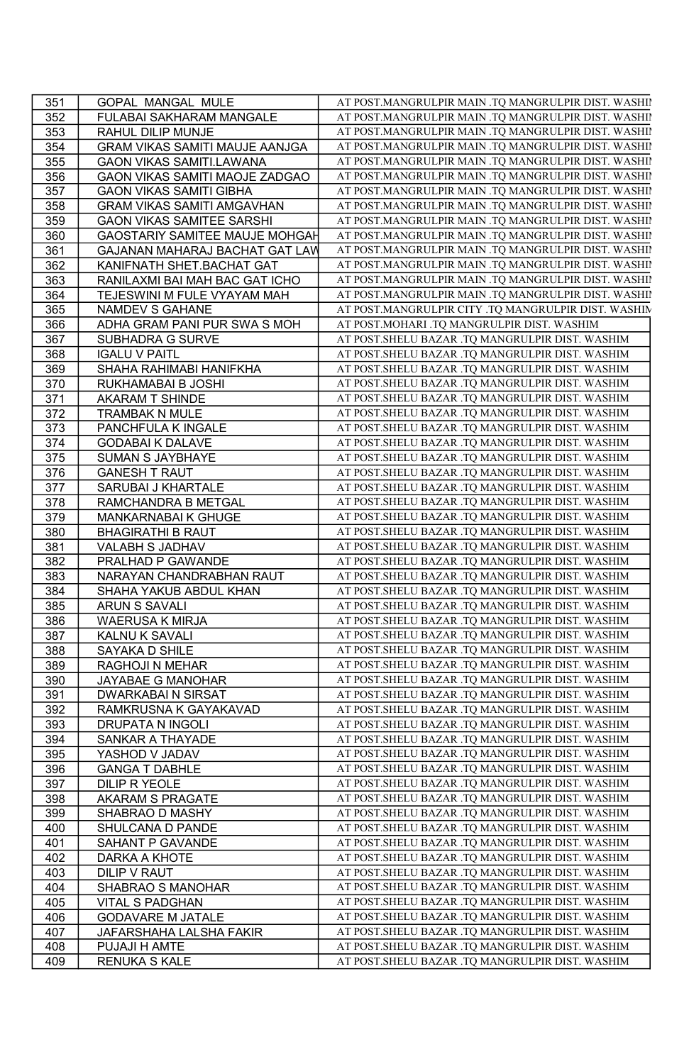| 351 | GOPAL MANGAL MULE                | AT POST.MANGRULPIR MAIN .TQ MANGRULPIR DIST. WASHII |
|-----|----------------------------------|-----------------------------------------------------|
| 352 | FULABAI SAKHARAM MANGALE         | AT POST.MANGRULPIR MAIN .TQ MANGRULPIR DIST. WASHII |
| 353 | RAHUL DILIP MUNJE                | AT POST.MANGRULPIR MAIN .TQ MANGRULPIR DIST. WASHII |
| 354 | GRAM VIKAS SAMITI MAUJE AANJGA   | AT POST.MANGRULPIR MAIN .TQ MANGRULPIR DIST. WASHII |
| 355 | GAON VIKAS SAMITI.LAWANA         | AT POST.MANGRULPIR MAIN .TQ MANGRULPIR DIST. WASHII |
| 356 | GAON VIKAS SAMITI MAOJE ZADGAO   | AT POST.MANGRULPIR MAIN .TQ MANGRULPIR DIST. WASHII |
| 357 | <b>GAON VIKAS SAMITI GIBHA</b>   | AT POST.MANGRULPIR MAIN .TQ MANGRULPIR DIST. WASHII |
| 358 | GRAM VIKAS SAMITI AMGAVHAN       | AT POST.MANGRULPIR MAIN .TQ MANGRULPIR DIST. WASHII |
| 359 | <b>GAON VIKAS SAMITEE SARSHI</b> | AT POST.MANGRULPIR MAIN .TQ MANGRULPIR DIST. WASHII |
| 360 | GAOSTARIY SAMITEE MAUJE MOHGAH   | AT POST.MANGRULPIR MAIN .TQ MANGRULPIR DIST. WASHII |
| 361 | GAJANAN MAHARAJ BACHAT GAT LAV   | AT POST.MANGRULPIR MAIN .TQ MANGRULPIR DIST. WASHII |
| 362 | KANIFNATH SHET.BACHAT GAT        | AT POST.MANGRULPIR MAIN .TQ MANGRULPIR DIST. WASHII |
| 363 | RANILAXMI BAI MAH BAC GAT ICHO   | AT POST.MANGRULPIR MAIN .TQ MANGRULPIR DIST. WASHII |
| 364 | TEJESWINI M FULE VYAYAM MAH      | AT POST.MANGRULPIR MAIN .TQ MANGRULPIR DIST. WASHII |
|     |                                  | AT POST.MANGRULPIR CITY .TQ MANGRULPIR DIST. WASHIM |
| 365 | NAMDEV S GAHANE                  | AT POST.MOHARI .TQ MANGRULPIR DIST. WASHIM          |
| 366 | ADHA GRAM PANI PUR SWA S MOH     |                                                     |
| 367 | SUBHADRA G SURVE                 | AT POST.SHELU BAZAR .TQ MANGRULPIR DIST. WASHIM     |
| 368 | <b>IGALU V PAITL</b>             | AT POST.SHELU BAZAR .TQ MANGRULPIR DIST. WASHIM     |
| 369 | SHAHA RAHIMABI HANIFKHA          | AT POST.SHELU BAZAR .TQ MANGRULPIR DIST. WASHIM     |
| 370 | RUKHAMABAI B JOSHI               | AT POST.SHELU BAZAR .TQ MANGRULPIR DIST. WASHIM     |
| 371 | AKARAM T SHINDE                  | AT POST.SHELU BAZAR .TQ MANGRULPIR DIST. WASHIM     |
| 372 | <b>TRAMBAK N MULE</b>            | AT POST.SHELU BAZAR .TQ MANGRULPIR DIST. WASHIM     |
| 373 | PANCHFULA K INGALE               | AT POST.SHELU BAZAR .TQ MANGRULPIR DIST. WASHIM     |
| 374 | <b>GODABAI K DALAVE</b>          | AT POST.SHELU BAZAR .TQ MANGRULPIR DIST. WASHIM     |
| 375 | SUMAN S JAYBHAYE                 | AT POST.SHELU BAZAR .TO MANGRULPIR DIST. WASHIM     |
| 376 | <b>GANESH T RAUT</b>             | AT POST.SHELU BAZAR .TQ MANGRULPIR DIST. WASHIM     |
| 377 | SARUBAI J KHARTALE               | AT POST.SHELU BAZAR .TQ MANGRULPIR DIST. WASHIM     |
| 378 | RAMCHANDRA B METGAL              | AT POST.SHELU BAZAR .TQ MANGRULPIR DIST. WASHIM     |
| 379 | MANKARNABAI K GHUGE              | AT POST.SHELU BAZAR .TQ MANGRULPIR DIST. WASHIM     |
| 380 | <b>BHAGIRATHI B RAUT</b>         | AT POST.SHELU BAZAR .TQ MANGRULPIR DIST. WASHIM     |
| 381 | VALABH S JADHAV                  | AT POST.SHELU BAZAR .TQ MANGRULPIR DIST. WASHIM     |
| 382 | PRALHAD P GAWANDE                | AT POST.SHELU BAZAR .TQ MANGRULPIR DIST. WASHIM     |
| 383 | NARAYAN CHANDRABHAN RAUT         | AT POST.SHELU BAZAR .TQ MANGRULPIR DIST. WASHIM     |
| 384 | SHAHA YAKUB ABDUL KHAN           | AT POST.SHELU BAZAR .TQ MANGRULPIR DIST. WASHIM     |
| 385 | ARUN S SAVALI                    | AT POST.SHELU BAZAR .TQ MANGRULPIR DIST. WASHIM     |
| 386 | WAERUSA K MIRJA                  | AT POST.SHELU BAZAR .TQ MANGRULPIR DIST. WASHIM     |
| 387 | KALNU K SAVALI                   | AT POST.SHELU BAZAR .TQ MANGRULPIR DIST. WASHIM     |
| 388 | SAYAKA D SHILE                   | AT POST.SHELU BAZAR .TQ MANGRULPIR DIST. WASHIM     |
| 389 | RAGHOJI N MEHAR                  | AT POST.SHELU BAZAR .TO MANGRULPIR DIST. WASHIM     |
| 390 | JAYABAE G MANOHAR                | AT POST.SHELU BAZAR .TQ MANGRULPIR DIST. WASHIM     |
| 391 | <b>DWARKABAI N SIRSAT</b>        | AT POST.SHELU BAZAR .TQ MANGRULPIR DIST. WASHIM     |
| 392 | RAMKRUSNA K GAYAKAVAD            | AT POST.SHELU BAZAR .TQ MANGRULPIR DIST. WASHIM     |
| 393 | DRUPATA N INGOLI                 | AT POST.SHELU BAZAR .TQ MANGRULPIR DIST. WASHIM     |
| 394 | SANKAR A THAYADE                 | AT POST.SHELU BAZAR .TQ MANGRULPIR DIST. WASHIM     |
| 395 | YASHOD V JADAV                   | AT POST.SHELU BAZAR .TQ MANGRULPIR DIST. WASHIM     |
| 396 | <b>GANGA T DABHLE</b>            | AT POST.SHELU BAZAR .TQ MANGRULPIR DIST. WASHIM     |
| 397 | DILIP R YEOLE                    | AT POST.SHELU BAZAR .TQ MANGRULPIR DIST. WASHIM     |
| 398 | AKARAM S PRAGATE                 | AT POST.SHELU BAZAR .TQ MANGRULPIR DIST. WASHIM     |
| 399 | SHABRAO D MASHY                  | AT POST.SHELU BAZAR .TQ MANGRULPIR DIST. WASHIM     |
| 400 | SHULCANA D PANDE                 | AT POST.SHELU BAZAR .TQ MANGRULPIR DIST. WASHIM     |
| 401 | SAHANT P GAVANDE                 | AT POST.SHELU BAZAR .TQ MANGRULPIR DIST. WASHIM     |
| 402 | DARKA A KHOTE                    | AT POST.SHELU BAZAR .TQ MANGRULPIR DIST. WASHIM     |
| 403 | DILIP V RAUT                     | AT POST.SHELU BAZAR .TQ MANGRULPIR DIST. WASHIM     |
| 404 | SHABRAO S MANOHAR                | AT POST.SHELU BAZAR .TQ MANGRULPIR DIST. WASHIM     |
| 405 | VITAL S PADGHAN                  | AT POST.SHELU BAZAR .TQ MANGRULPIR DIST. WASHIM     |
| 406 | <b>GODAVARE M JATALE</b>         | AT POST.SHELU BAZAR .TQ MANGRULPIR DIST. WASHIM     |
| 407 | JAFARSHAHA LALSHA FAKIR          | AT POST.SHELU BAZAR .TQ MANGRULPIR DIST. WASHIM     |
| 408 | PUJAJI H AMTE                    | AT POST. SHELU BAZAR .TQ MANGRULPIR DIST. WASHIM    |
| 409 | <b>RENUKA S KALE</b>             | AT POST.SHELU BAZAR .TQ MANGRULPIR DIST. WASHIM     |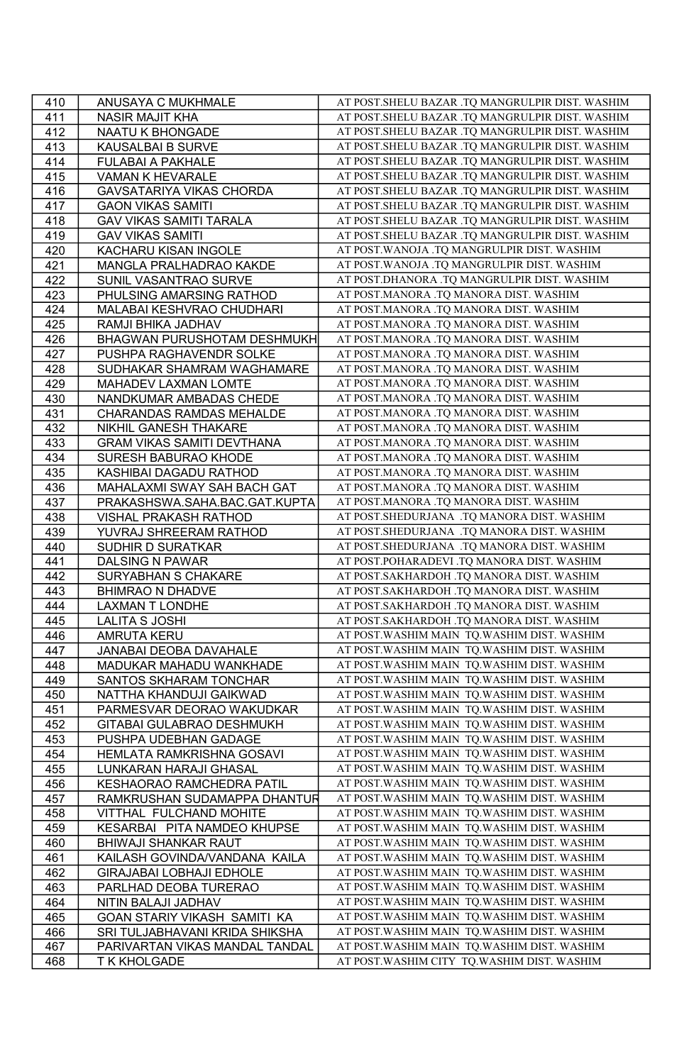| 410        | ANUSAYA C MUKHMALE             | AT POST.SHELU BAZAR .TQ MANGRULPIR DIST. WASHIM |
|------------|--------------------------------|-------------------------------------------------|
| 411        | <b>NASIR MAJIT KHA</b>         | AT POST.SHELU BAZAR .TQ MANGRULPIR DIST. WASHIM |
| 412        | NAATU K BHONGADE               | AT POST.SHELU BAZAR .TQ MANGRULPIR DIST. WASHIM |
| 413        | KAUSALBAI B SURVE              | AT POST.SHELU BAZAR .TQ MANGRULPIR DIST. WASHIM |
| 414        | FULABAI A PAKHALE              | AT POST.SHELU BAZAR .TQ MANGRULPIR DIST. WASHIM |
| 415        | VAMAN K HEVARALE               | AT POST.SHELU BAZAR .TQ MANGRULPIR DIST. WASHIM |
| 416        | GAVSATARIYA VIKAS CHORDA       | AT POST.SHELU BAZAR .TQ MANGRULPIR DIST. WASHIM |
| 417        | <b>GAON VIKAS SAMITI</b>       | AT POST.SHELU BAZAR .TQ MANGRULPIR DIST. WASHIM |
| 418        | <b>GAV VIKAS SAMITI TARALA</b> | AT POST.SHELU BAZAR .TQ MANGRULPIR DIST. WASHIM |
| 419        | <b>GAV VIKAS SAMITI</b>        | AT POST.SHELU BAZAR .TQ MANGRULPIR DIST. WASHIM |
|            |                                | AT POST. WANOJA .TQ MANGRULPIR DIST. WASHIM     |
| 420        | KACHARU KISAN INGOLE           |                                                 |
| 421        | MANGLA PRALHADRAO KAKDE        | AT POST. WANOJA .TQ MANGRULPIR DIST. WASHIM     |
| 422        | SUNIL VASANTRAO SURVE          | AT POST.DHANORA .TQ MANGRULPIR DIST. WASHIM     |
| 423        | PHULSING AMARSING RATHOD       | AT POST.MANORA .TQ MANORA DIST. WASHIM          |
| 424        | MALABAI KESHVRAO CHUDHARI      | AT POST.MANORA .TQ MANORA DIST. WASHIM          |
| 425        | RAMJI BHIKA JADHAV             | AT POST.MANORA .TQ MANORA DIST. WASHIM          |
| 426        | BHAGWAN PURUSHOTAM DESHMUKH    | AT POST.MANORA .TQ MANORA DIST. WASHIM          |
| 427        | PUSHPA RAGHAVENDR SOLKE        | AT POST.MANORA .TQ MANORA DIST. WASHIM          |
| 428        | SUDHAKAR SHAMRAM WAGHAMARE     | AT POST.MANORA .TQ MANORA DIST. WASHIM          |
| 429        | MAHADEV LAXMAN LOMTE           | AT POST.MANORA .TQ MANORA DIST. WASHIM          |
| 430        | NANDKUMAR AMBADAS CHEDE        | AT POST.MANORA .TQ MANORA DIST. WASHIM          |
| 431        | CHARANDAS RAMDAS MEHALDE       | AT POST.MANORA .TQ MANORA DIST. WASHIM          |
| 432        | NIKHIL GANESH THAKARE          | AT POST.MANORA .TQ MANORA DIST. WASHIM          |
| 433        | GRAM VIKAS SAMITI DEVTHANA     | AT POST.MANORA .TQ MANORA DIST. WASHIM          |
| 434        | SURESH BABURAO KHODE           | AT POST.MANORA .TQ MANORA DIST. WASHIM          |
| 435        | KASHIBAI DAGADU RATHOD         | AT POST.MANORA .TQ MANORA DIST. WASHIM          |
| 436        | MAHALAXMI SWAY SAH BACH GAT    | AT POST.MANORA .TQ MANORA DIST. WASHIM          |
| 437        | PRAKASHSWA.SAHA.BAC.GAT.KUPTA  | AT POST.MANORA .TQ MANORA DIST. WASHIM          |
| 438        | <b>VISHAL PRAKASH RATHOD</b>   | AT POST.SHEDURJANA .TQ MANORA DIST. WASHIM      |
|            | YUVRAJ SHREERAM RATHOD         | AT POST. SHEDURJANA .TQ MANORA DIST. WASHIM     |
| 439<br>440 |                                | AT POST.SHEDURJANA .TQ MANORA DIST. WASHIM      |
| 441        | SUDHIR D SURATKAR              | AT POST.POHARADEVI .TQ MANORA DIST. WASHIM      |
| 442        | DALSING N PAWAR                | AT POST.SAKHARDOH .TQ MANORA DIST. WASHIM       |
|            | SURYABHAN S CHAKARE            |                                                 |
| 443        | BHIMRAO N DHADVE               | AT POST.SAKHARDOH .TQ MANORA DIST. WASHIM       |
| 444        | LAXMAN T LONDHE                | AT POST.SAKHARDOH .TQ MANORA DIST. WASHIM       |
| 445        | LALITA S JOSHI                 | AT POST.SAKHARDOH .TQ MANORA DIST. WASHIM       |
| 446        | <b>AMRUTA KERU</b>             | AT POST. WASHIM MAIN TQ. WASHIM DIST. WASHIM    |
| 447        | JANABAI DEOBA DAVAHALE         | AT POST. WASHIM MAIN TQ. WASHIM DIST. WASHIM    |
| 448        | MADUKAR MAHADU WANKHADE        | AT POST. WASHIM MAIN TQ. WASHIM DIST. WASHIM    |
| 449        | SANTOS SKHARAM TONCHAR         | AT POST. WASHIM MAIN TQ. WASHIM DIST. WASHIM    |
| 450        | NATTHA KHANDUJI GAIKWAD        | AT POST. WASHIM MAIN TQ. WASHIM DIST. WASHIM    |
| 451        | PARMESVAR DEORAO WAKUDKAR      | AT POST. WASHIM MAIN TO. WASHIM DIST. WASHIM    |
| 452        | GITABAI GULABRAO DESHMUKH      | AT POST. WASHIM MAIN TQ. WASHIM DIST. WASHIM    |
| 453        | PUSHPA UDEBHAN GADAGE          | AT POST. WASHIM MAIN TQ. WASHIM DIST. WASHIM    |
| 454        | HEMLATA RAMKRISHNA GOSAVI      | AT POST. WASHIM MAIN TQ. WASHIM DIST. WASHIM    |
| 455        | LUNKARAN HARAJI GHASAL         | AT POST. WASHIM MAIN TQ. WASHIM DIST. WASHIM    |
| 456        | KESHAORAO RAMCHEDRA PATIL      | AT POST. WASHIM MAIN TQ. WASHIM DIST. WASHIM    |
| 457        | RAMKRUSHAN SUDAMAPPA DHANTUR   | AT POST. WASHIM MAIN TQ. WASHIM DIST. WASHIM    |
| 458        | VITTHAL FULCHAND MOHITE        | AT POST. WASHIM MAIN TO. WASHIM DIST. WASHIM    |
| 459        | KESARBAI PITA NAMDEO KHUPSE    | AT POST. WASHIM MAIN TQ. WASHIM DIST. WASHIM    |
| 460        | BHIWAJI SHANKAR RAUT           | AT POST. WASHIM MAIN TQ. WASHIM DIST. WASHIM    |
| 461        | KAILASH GOVINDA/VANDANA KAILA  | AT POST. WASHIM MAIN TQ. WASHIM DIST. WASHIM    |
| 462        | GIRAJABAI LOBHAJI EDHOLE       | AT POST. WASHIM MAIN TQ. WASHIM DIST. WASHIM    |
| 463        | PARLHAD DEOBA TURERAO          | AT POST. WASHIM MAIN TQ. WASHIM DIST. WASHIM    |
|            |                                | AT POST. WASHIM MAIN TQ. WASHIM DIST. WASHIM    |
| 464        | NITIN BALAJI JADHAV            |                                                 |
| 465        | GOAN STARIY VIKASH SAMITI KA   | AT POST. WASHIM MAIN TQ. WASHIM DIST. WASHIM    |
| 466        | SRI TULJABHAVANI KRIDA SHIKSHA | AT POST. WASHIM MAIN TQ. WASHIM DIST. WASHIM    |
| 467        | PARIVARTAN VIKAS MANDAL TANDAL | AT POST. WASHIM MAIN TQ. WASHIM DIST. WASHIM    |
| 468        | T K KHOLGADE                   | AT POST. WASHIM CITY TQ. WASHIM DIST. WASHIM    |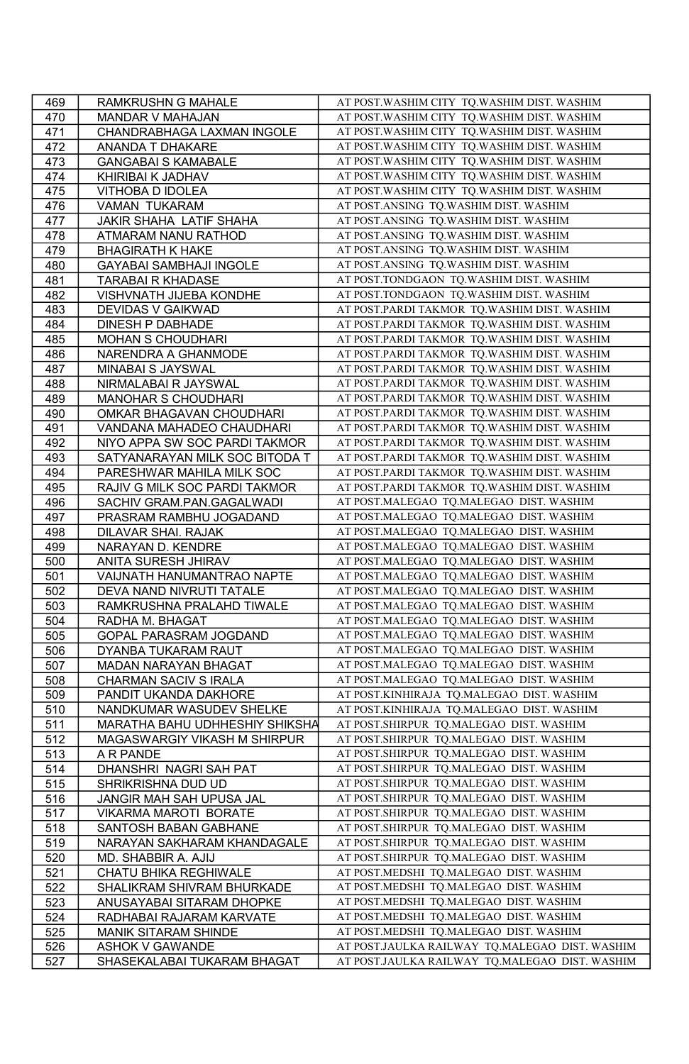| 469        | RAMKRUSHN G MAHALE                                         | AT POST. WASHIM CITY TQ. WASHIM DIST. WASHIM                                           |
|------------|------------------------------------------------------------|----------------------------------------------------------------------------------------|
| 470        | MANDAR V MAHAJAN                                           | AT POST. WASHIM CITY TQ. WASHIM DIST. WASHIM                                           |
| 471        | CHANDRABHAGA LAXMAN INGOLE                                 | AT POST. WASHIM CITY TQ. WASHIM DIST. WASHIM                                           |
| 472        | ANANDA T DHAKARE                                           | AT POST. WASHIM CITY TQ. WASHIM DIST. WASHIM                                           |
| 473        | <b>GANGABAI S KAMABALE</b>                                 | AT POST. WASHIM CITY TQ. WASHIM DIST. WASHIM                                           |
| 474        | KHIRIBAI K JADHAV                                          | AT POST. WASHIM CITY TQ. WASHIM DIST. WASHIM                                           |
| 475        | VITHOBA D IDOLEA                                           | AT POST. WASHIM CITY TQ. WASHIM DIST. WASHIM                                           |
| 476        | VAMAN TUKARAM                                              | AT POST.ANSING TQ.WASHIM DIST. WASHIM                                                  |
| 477        | JAKIR SHAHA LATIF SHAHA                                    | AT POST.ANSING TQ.WASHIM DIST. WASHIM                                                  |
| 478        | ATMARAM NANU RATHOD                                        | AT POST.ANSING TQ.WASHIM DIST. WASHIM                                                  |
| 479        | <b>BHAGIRATH K HAKE</b>                                    | AT POST.ANSING TQ.WASHIM DIST. WASHIM                                                  |
| 480        | GAYABAI SAMBHAJI INGOLE                                    | AT POST.ANSING TQ.WASHIM DIST. WASHIM                                                  |
| 481        | TARABAI R KHADASE                                          | AT POST.TONDGAON TQ.WASHIM DIST. WASHIM                                                |
| 482        | VISHVNATH JIJEBA KONDHE                                    | AT POST.TONDGAON TQ.WASHIM DIST. WASHIM                                                |
| 483        | DEVIDAS V GAIKWAD                                          | AT POST.PARDI TAKMOR TQ.WASHIM DIST. WASHIM                                            |
| 484        | DINESH P DABHADE                                           | AT POST.PARDI TAKMOR TQ.WASHIM DIST. WASHIM                                            |
| 485        | MOHAN S CHOUDHARI                                          | AT POST.PARDI TAKMOR TQ.WASHIM DIST. WASHIM                                            |
| 486        | NARENDRA A GHANMODE                                        | AT POST.PARDI TAKMOR TQ.WASHIM DIST. WASHIM                                            |
| 487        | MINABAI S JAYSWAL                                          | AT POST.PARDI TAKMOR TQ.WASHIM DIST. WASHIM                                            |
| 488        | NIRMALABAI R JAYSWAL                                       | AT POST.PARDI TAKMOR TQ.WASHIM DIST. WASHIM                                            |
| 489        | MANOHAR S CHOUDHARI                                        | AT POST.PARDI TAKMOR TQ.WASHIM DIST. WASHIM                                            |
| 490        | OMKAR BHAGAVAN CHOUDHARI                                   | AT POST.PARDI TAKMOR TQ.WASHIM DIST. WASHIM                                            |
| 491        | VANDANA MAHADEO CHAUDHARI                                  | AT POST.PARDI TAKMOR TQ.WASHIM DIST. WASHIM                                            |
| 492        | NIYO APPA SW SOC PARDI TAKMOR                              | AT POST.PARDI TAKMOR TQ.WASHIM DIST. WASHIM                                            |
| 493        | SATYANARAYAN MILK SOC BITODA T                             | AT POST.PARDI TAKMOR TQ.WASHIM DIST. WASHIM                                            |
| 494        | PARESHWAR MAHILA MILK SOC                                  | AT POST.PARDI TAKMOR TQ.WASHIM DIST. WASHIM                                            |
|            |                                                            | AT POST.PARDI TAKMOR TQ.WASHIM DIST. WASHIM                                            |
| 495<br>496 | RAJIV G MILK SOC PARDI TAKMOR<br>SACHIV GRAM.PAN.GAGALWADI | AT POST.MALEGAO TQ.MALEGAO DIST. WASHIM                                                |
| 497        |                                                            | AT POST.MALEGAO TQ.MALEGAO DIST. WASHIM                                                |
|            | PRASRAM RAMBHU JOGADAND                                    | AT POST.MALEGAO TQ.MALEGAO DIST. WASHIM                                                |
| 498<br>499 | DILAVAR SHAI. RAJAK                                        | AT POST.MALEGAO TQ.MALEGAO DIST. WASHIM                                                |
|            | NARAYAN D. KENDRE                                          | AT POST.MALEGAO TQ.MALEGAO DIST. WASHIM                                                |
| 500        | ANITA SURESH JHIRAV                                        | AT POST.MALEGAO TQ.MALEGAO DIST. WASHIM                                                |
| 501        | VAIJNATH HANUMANTRAO NAPTE                                 | AT POST.MALEGAO TQ.MALEGAO DIST. WASHIM                                                |
| 502        | DEVA NAND NIVRUTI TATALE                                   | AT POST.MALEGAO TQ.MALEGAO DIST. WASHIM                                                |
| 503        | RAMKRUSHNA PRALAHD TIWALE                                  |                                                                                        |
| 504        | RADHA M. BHAGAT                                            | AT POST.MALEGAO TQ.MALEGAO DIST. WASHIM                                                |
| 505        | GOPAL PARASRAM JOGDAND                                     | AT POST.MALEGAO TQ.MALEGAO DIST. WASHIM                                                |
| 506        | DYANBA TUKARAM RAUT                                        | AT POST.MALEGAO TQ.MALEGAO DIST. WASHIM                                                |
| 507        | MADAN NARAYAN BHAGAT                                       | AT POST.MALEGAO TQ.MALEGAO DIST. WASHIM<br>AT POST.MALEGAO TQ.MALEGAO DIST. WASHIM     |
| 508        | CHARMAN SACIV S IRALA                                      |                                                                                        |
| 509        | PANDIT UKANDA DAKHORE                                      | AT POST.KINHIRAJA TQ.MALEGAO DIST. WASHIM<br>AT POST.KINHIRAJA TQ.MALEGAO DIST. WASHIM |
| 510        | NANDKUMAR WASUDEV SHELKE                                   |                                                                                        |
| 511        | MARATHA BAHU UDHHESHIY SHIKSHA                             | AT POST.SHIRPUR TQ.MALEGAO DIST. WASHIM                                                |
| 512        | MAGASWARGIY VIKASH M SHIRPUR                               | AT POST.SHIRPUR TQ.MALEGAO DIST. WASHIM                                                |
| 513        | A R PANDE                                                  | AT POST.SHIRPUR TQ.MALEGAO DIST. WASHIM                                                |
| 514        | DHANSHRI NAGRI SAH PAT                                     | AT POST.SHIRPUR TQ.MALEGAO DIST. WASHIM                                                |
| 515        | SHRIKRISHNA DUD UD                                         | AT POST.SHIRPUR TQ.MALEGAO DIST. WASHIM                                                |
| 516        | JANGIR MAH SAH UPUSA JAL                                   | AT POST.SHIRPUR TQ.MALEGAO DIST. WASHIM                                                |
| 517        | VIKARMA MAROTI BORATE                                      | AT POST.SHIRPUR TQ.MALEGAO DIST. WASHIM                                                |
| 518        | SANTOSH BABAN GABHANE                                      | AT POST.SHIRPUR TQ.MALEGAO DIST. WASHIM                                                |
| 519        | NARAYAN SAKHARAM KHANDAGALE                                | AT POST.SHIRPUR TQ.MALEGAO DIST. WASHIM                                                |
| 520        | MD. SHABBIR A. AJIJ                                        | AT POST.SHIRPUR TQ.MALEGAO DIST. WASHIM                                                |
| 521        | CHATU BHIKA REGHIWALE                                      | AT POST.MEDSHI TQ.MALEGAO DIST. WASHIM                                                 |
| 522        | SHALIKRAM SHIVRAM BHURKADE                                 | AT POST.MEDSHI TQ.MALEGAO DIST. WASHIM                                                 |
| 523        | ANUSAYABAI SITARAM DHOPKE                                  | AT POST.MEDSHI TQ.MALEGAO DIST. WASHIM                                                 |
| 524        | RADHABAI RAJARAM KARVATE                                   | AT POST.MEDSHI TQ.MALEGAO DIST. WASHIM                                                 |
| 525        | MANIK SITARAM SHINDE                                       | AT POST.MEDSHI TQ.MALEGAO DIST. WASHIM                                                 |
| 526        | ASHOK V GAWANDE                                            | AT POST.JAULKA RAILWAY TQ.MALEGAO DIST. WASHIM                                         |
| 527        | SHASEKALABAI TUKARAM BHAGAT                                | AT POST.JAULKA RAILWAY TQ.MALEGAO DIST. WASHIM                                         |